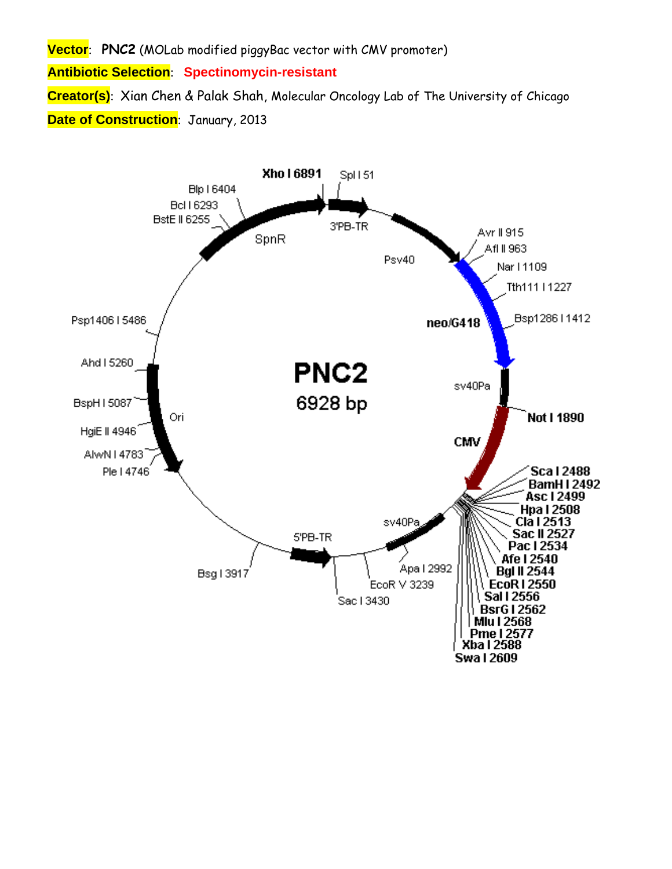**Vector**: **PNC2** (MOLab modified piggyBac vector with CMV promoter)

**Antibiotic Selection**: **Spectinomycin-resistant** 

**Creator(s)**: Xian Chen & Palak Shah, Molecular Oncology Lab of The University of Chicago **Date of Construction**: January, 2013

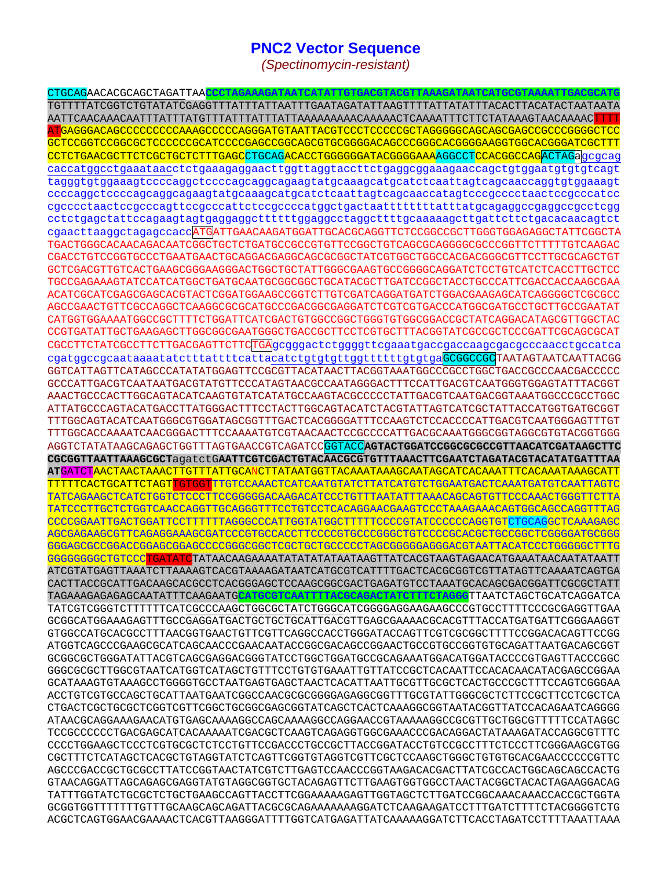## **PNC2 Vector Sequence**

*(Spectinomycin-resistant)* 

CTGCAGAACACGCAGCTAGATTAA**CCCTAGAAAGATAATCATATTGTGACGTACGTTAAAGATAATCATGCGTAAAATTGACGCATG** TGTTTTATCGGTCTGTATATCGAGGTTTATTTATTAATTTGAATAGATATTAAGTTTTATTATATTTACACTTACATACTAATAATA AATTCAACAAACAATTTATTTATGTTTATTTATTTATTAAAAAAAAACAAAAACTCAAAATTTCTTCTATAAAGTAACAAAACTTTT ATGAGGGACAGCCCCCCCCCAAAGCCCCCAGGGATGTAATTACGTCCCTCCCCCGCTAGGGGGCAGCAGCGAGCCGCCCGGGGCTCC GCTCCGGTCCGGCGCTCCCCCCGCATCCCCGAGCCGGCAGCGTGCGGGGACAGCCCGGGCACGGGGAAGGTGGCACGGGATCGCTTT CCTCTGAACGCTTCTCGCTGCTCTTTGAGCCTGCAGACACCTGGGGGGATACGGGGAAAAGGCCTCCACGCCAGACTAGaqcqcaq caccatggcctgaaataacctctgaaagaggaacttggttaggtaccttctgaggcggaaagaaccagctgtggaatgtgtgtcagt tagggtgtggaaagtccccaggctccccagcaggcagaagtatgcaaagcatgcatctcaattagtcagcaaccaggtgtggaaagt ccccaggctccccagcaggcagaagtatgcaaagcatgcatctcaattagtcagcaaccatagtcccgcccctaactccgcccatcc cgcccctaactccgcccagttccgcccattctccgccccatggctgactaattttttttatttatgcagaggccgaggccgcctcgg cctctgagctattccagaagtagtgaggaggcttttttggaggcctaggcttttgcaaaaagcttgattcttctgacacaacagtct cgaacttaaggctagagccaccATGATTGAACAAGATGGATTGCACGCAGGTTCTCCGGCCGCTTGGGTGGAGAGGCTATTCGGCTA TGACTGGGCACAACAGACAATCGGCTGCTCTGATGCCGCCGTGTTCCGGCTGTCAGCGCAGGGGCGCCCGGTTCTTTTTGTCAAGAC CGACCTGTCCGGTGCCCTGAATGAACTGCAGGACGAGGCAGCGCGGCTATCGTGGCTGGCCACGACGGGCGTTCCTTGCGCAGCTGT GCTCGACGTTGTCACTGAAGCGGGAAGGGACTGGCTGCTATTGGGCGAAGTGCCGGGGCAGGATCTCCTGTCATCTCACCTTGCTCC TGCCGAGAAAGTATCCATCATGGCTGATGCAATGCGGCGGCTGCATACGCTTGATCCGGCTACCTGCCCATTCGACCACCAAGCGAA ACATCGCATCGAGCGAGCACGTACTCGGATGGAAGCCGGTCTTGTCGATCAGGATGATCTGGACGAAGAGCATCAGGGGCTCGCGCC AGCCGAACTGTTCGCCAGGCTCAAGGCGCGCATGCCCGACGGCGAGGATCTCGTCGTGACCCATGGCGATGCCTGCTTGCCGAATAT CATGGTGGAAAATGGCCGCTTTTCTGGATTCATCGACTGTGGCCGGCTGGGTGTGGCGGACCGCTATCAGGACATAGCGTTGGCTAC CCGTGATATTGCTGAAGAGCTTGGCGGCGAATGGGCTGACCGCTTCCTCGTGCTTTACGGTATCGCCGCTCCCGATTCGCAGCGCAT CGCCTTCTATCGCCTTCTTGACGAGTTCTTCTGAgcgggactctggggttcgaaatgaccgaccaagcgacgcccaacctgccatca cgatggccgcaataaaatatctttattttcattacatctgtgtgttggttttttgtgtgaGCGGCCGCTAATAGTAATCAATTACGG GGTCATTAGTTCATAGCCCATATATGGAGTTCCGCGTTACATAACTTACGGTAAATGGCCCGCCTGGCTGACCGCCCAACGACCCCC GCCCATTGACGTCAATAATGACGTATGTTCCCATAGTAACGCCAATAGGGACTTTTCCATTGACGTCAATGGGTGAGTATTTACGGT AAACTGCCCACTTGGCAGTACATCAAGTGTATCATATGCCAAGTACGCCCCCTATTGACGTCAATGACGGTAAATGGCCCGCCTGGC ATTATGCCCAGTACATGACCTTATGGGACTTTCCTACTTGGCAGTACATCTACGTATTAGTCATCGCTATTACCATGGTGATGCGGT TTTGGCAGTACATCAATGGGCGTGGATAGCGGTTTGACTCACGGGGATTTCCAAGTCTCCACCCCATTGACGTCAATGGGAGTTTGT TTTGGCACCAAAATCAACGGGACTTTCCAAAATGTCGTAACAACTCCGCCCCATTGACGCAAATGGGCGGTAGGCGTGTACGGTGGG AGGTCTATATAAGCAGAGCTGGTTTAGTGAACCGTCAGATCCGGTACC**AGTACTGGATCCGGCGCGCCGTTAACATCGATAAGCTTC CGCGGTTAATTAAAGCGCT**agatctG**AATTCGTCGACTGTACAACGCGTGTTTAAACTTCGAATCTAGATACGTACATATGATTTAA AT**GATCTAACTAACTAAACTTGTTTATTGCANCTTATAATGGTTACAAATAAAGCAATAGCATCACAAATTTCACAAATAAAGCATT TTTTTCACTGCATTCTAGTTGTGGTTTGTCCAAACTCATCAATGTATCTTATCATGTCTGGAATGACTCAAATGATGTCAATTAGTC TATCAGAAGCTCATCTGGTCTCCCTTCCGGGGGACAAGACATCCCTGTTTAATATTTAAACAGCAGTGTTCCCAAACTGGGTTCTTA TATCCCTTGCTCTGGTCAACCAGGTTGCAGGGTTTCCTGTCCTCACAGGAACGAAGTCCCTAAAGAAACAGTGGCAGCCAGGTTTAG CCCCGGAATTGACTGGATTCCTTTTTTAGGGCCCATTGGTATGGCTTTTTCCCCGTATCCCCCCAGGTGTCTGCAGGCTCAAAGAGC AGCGAGAAGCGTTCAGAGGAAAGCGATCCCGTGCCACCTTCCCCGTGCCCGGGCTGTCCCCGCACGCTGCCGGCTCGGGGATGCGGG GGGAGCGCCGGACCGGAGCGGAGCCCCGGGCGGCTCGCTGCTGCCCCCTAGCGGGGGAGGGACGTAATTACATCCCTGGGGGCTTTG GGGGGGGGCTGTCCCTGATATCTATAACAAGAAAATATATATATAATAAGTTATCACGTAAGTAGAACATGAAATAACAATATAATT ATCGTATGAGTTAAATCTTAAAAGTCACGTAAAAGATAATCATGCGTCATTTTGACTCACGCGGTCGTTATAGTTCAAAATCAGTGA CACTTACCGCATTGACAAGCACGCCTCACGGGAGCTCCAAGCGGCGACTGAGATGTCCTAAATGCACAGCGACGGATTCGCGCTATT TAGAAAGAGAGAGCAATATTTCAAGAATG**CATGCGTCAATTTTACGCAGACTATCTTTCTAGGG**TTAATCTAGCTGCATCAGGATCA TATCGTCGGGTCTTTTTTCATCGCCCAAGCTGGCGCTATCTGGGCATCGGGGAGGAAGAAGCCCGTGCCTTTTCCCGCGAGGTTGAA GCGGCATGGAAAGAGTTTGCCGAGGATGACTGCTGCTGCATTGACGTTGAGCGAAAACGCACGTTTACCATGATGATTCGGGAAGGT GTGGCCATGCACGCCTTTAACGGTGAACTGTTCGTTCAGGCCACCTGGGATACCAGTTCGTCGCGGCTTTTCCGGACACAGTTCCGG ATGGTCAGCCCGAAGCGCATCAGCAACCCGAACAATACCGGCGACAGCCGGAACTGCCGTGCCGGTGTGCAGATTAATGACAGCGGT GCGGCGCTGGGATATTACGTCAGCGAGGACGGGTATCCTGGCTGGATGCCGCAGAAATGGACATGGATACCCCGTGAGTTACCCGGC GGGCGCGCTTGGCGTAATCATGGTCATAGCTGTTTCCTGTGTGAAATTGTTATCCGCTCACAATTCCACACAACATACGAGCCGGAA GCATAAAGTGTAAAGCCTGGGGTGCCTAATGAGTGAGCTAACTCACATTAATTGCGTTGCGCTCACTGCCCGCTTTCCAGTCGGGAA ACCTGTCGTGCCAGCTGCATTAATGAATCGGCCAACGCGCGGGGAGAGGCGGTTTGCGTATTGGGCGCTCTTCCGCTTCCTCGCTCA CTGACTCGCTGCGCTCGGTCGTTCGGCTGCGGCGAGCGGTATCAGCTCACTCAAAGGCGGTAATACGGTTATCCACAGAATCAGGGG ATAACGCAGGAAAGAACATGTGAGCAAAAGGCCAGCAAAAGGCCAGGAACCGTAAAAAGGCCGCGTTGCTGGCGTTTTTCCATAGGC TCCGCCCCCCTGACGAGCATCACAAAAATCGACGCTCAAGTCAGAGGTGGCGAAACCCGACAGGACTATAAAGATACCAGGCGTTTC CCCCTGGAAGCTCCCTCGTGCGCTCTCCTGTTCCGACCCTGCCGCTTACCGGATACCTGTCCGCCTTTCTCCCTTCGGGAAGCGTGG CGCTTTCTCATAGCTCACGCTGTAGGTATCTCAGTTCGGTGTAGGTCGTTCGCTCCAAGCTGGGCTGTGTGCACGAACCCCCCGTTC AGCCCGACCGCTGCGCCTTATCCGGTAACTATCGTCTTGAGTCCAACCCGGTAAGACACGACTTATCGCCACTGGCAGCAGCCACTG GTAACAGGATTAGCAGAGCGAGGTATGTAGGCGGTGCTACAGAGTTCTTGAAGTGGTGGCCTAACTACGGCTACACTAGAAGGACAG TATTTGGTATCTGCGCTCTGCTGAAGCCAGTTACCTTCGGAAAAAGAGTTGGTAGCTCTTGATCCGGCAAACAAACCACCGCTGGTA GCGGTGGTTTTTTTGTTTGCAAGCAGCAGATTACGCGCAGAAAAAAAGGATCTCAAGAAGATCCTTTGATCTTTTCTACGGGGTCTG ACGCTCAGTGGAACGAAAACTCACGTTAAGGGATTTTGGTCATGAGATTATCAAAAAGGATCTTCACCTAGATCCTTTTAAATTAAA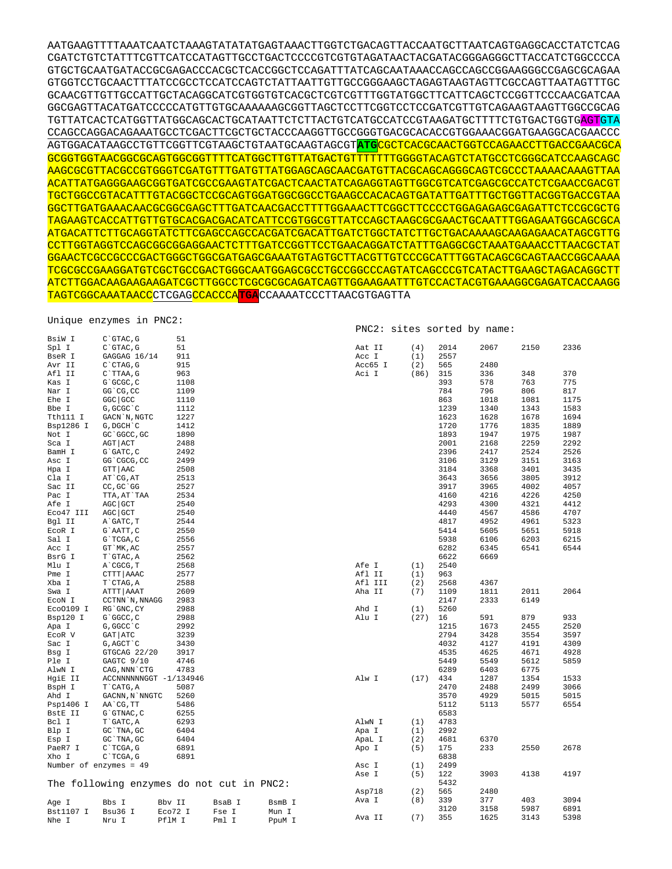AATGAAGTTTTAAATCAATCTAAAGTATATATGAGTAAACTTGGTCTGACAGTTACCAATGCTTAATCAGTGAGGCACCTATCTCAG CGATCTGTCTATTTCGTTCATCCATAGTTGCCTGACTCCCCGTCGTGTAGATAACTACGATACGGGAGGGCTTACCATCTGGCCCCA GTGCTGCAATGATACCGCGAGACCCACGCTCACCGGCTCCAGATTTATCAGCAATAAACCAGCCAGCCGGAAGGGCCGAGCGCAGAA GTGGTCCTGCAACTTTATCCGCCTCCATCCAGTCTATTAATTGTTGCCGGGAAGCTAGAGTAAGTAGTTCGCCAGTTAATAGTTTGC GCAACGTTGTTGCCATTGCTACAGGCATCGTGGTGTCACGCTCGTCGTTTGGTATGGCTTCATTCAGCTCCGGTTCCCAACGATCAA GGCGAGTTACATGATCCCCCATGTTGTGCAAAAAAGCGGTTAGCTCCTTCGGTCCTCCGATCGTTGTCAGAAGTAAGTTGGCCGCAG TGTTATCACTCATGGTTATGGCAGCACTGCATAATTCTCTTACTGTCATGCCATCCGTAAGATGCTTTTCTGTGACTGGTGAGTGTA CCAGCCAGGACAGAAATGCCTCGACTTCGCTGCTACCCAAGGTTGCCGGGTGACGCACACCGTGGAAACGGATGAAGGCACGAACCC AGTGGACATAAGCCTGTTCGGTTCGTAAGCTGTAATGCAAGTAGCGT**ATG**CGCTCACGCAACTGGTCCAGAACCTTGACCGAACGCA GCGGTGGTAACGGCGCAGTGGCGGTTTTCATGGCTTGTTATGACTGTTTTTTTGGGGTACAGTCTATGCCTCGGGCATCCAAGCAGC AAGCGCGTTACGCCGTGGGTCGATGTTTGATGTTATGGAGCAGCAACGATGTTACGCAGCAGGGCAGTCGCCCTAAAACAAAGTTAA ACATTATGAGGGAAGCGGTGATCGCCGAAGTATCGACTCAACTATCAGAGGTAGTTGGCGTCATCGAGCGCCATCTCGAACCGACGT TGCTGGCCGTACATTTGTACGGCTCCGCAGTGGATGGCGGCCTGAAGCCACACAGTGATATTGATTTGCTGGTTACGGTGACCGTAA GGCTTGATGAAACAACGCGGCGAGCTTTGATCAACGACCTTTTGGAAACTTCGGCTTCCCCTGGAGAGAGCGAGATTCTCCGCGCTG TAGAAGTCACCATTGTTGTGCACGACGACATCATTCCGTGGCGTTATCCAGCTAAGCGCGAACTGCAATTTGGAGAATGGCAGCGCA ATGACATTCTTGCAGGTATCTTCGAGCCAGCCACGATCGACATTGATCTGGCTATCTTGCTGACAAAAGCAAGAGAACATAGCGTTG CCTTGGTAGGTCCAGCGGCGGAGGAACTCTTTGATCCGGTTCCTGAACAGGATCTATTTGAGGCGCTAAATGAAACCTTAACGCTAT GGAACTCGCCGCCCGACTGGGCTGGCGATGAGCGAAATGTAGTGCTTACGTTGTCCCGCATTTGGTACAGCGCAGTAACCGGCAAAA TCGCGCCGAAGGATGTCGCTGCCGACTGGGCAATGGAGCGCCTGCCGGCCCAGTATCAGCCCGTCATACTTGAAGCTAGACAGGCTT ATCTTGGACAAGAAGAAGATCGCTTGGCCTCGCGCGCAGATCAGTTGGAAGAATTTGTCCACTACGTGAAAGGCGAGATCACCAAGG TAGTCGGCAAATAACCCTCGAGCCACCCA**TGA**CCAAAATCCCTTAACGTGAGTTA

## Unique enzymes in PNC2: BeiW I C'CTAC C 51

PNC2: sites sorted by name:

| ມວ⊥ກ ⊥                 | U ULAU , U                                | <u>. .</u> |        |        |         |      |      |      |      |      |
|------------------------|-------------------------------------------|------------|--------|--------|---------|------|------|------|------|------|
| Spl I                  | $C$ $GTAC$ , $G$                          | 51         |        |        | Aat II  | (4)  | 2014 | 2067 | 2150 | 2336 |
| BseR I                 | GAGGAG 16/14                              | 911        |        |        | Acc I   | (1)  | 2557 |      |      |      |
| Avr II                 | C`CTAG, G                                 | 915        |        |        | Acc65 I | (2)  | 565  | 2480 |      |      |
| Afl II                 | C`TTAA, G                                 | 963        |        |        | Aci I   | (86) | 315  | 336  | 348  | 370  |
| Kas I                  | G`GCGC, C                                 | 1108       |        |        |         |      | 393  | 578  | 763  | 775  |
| Nar I                  | GG CG, CC                                 | 1109       |        |        |         |      | 784  | 796  | 806  | 817  |
| Ehe I                  | GGC GCC                                   | 1110       |        |        |         |      | 863  | 1018 | 1081 | 1175 |
| Bbe I                  | G, GCGC `C                                | 1112       |        |        |         |      | 1239 | 1340 | 1343 | 1583 |
| Tth111 I               | GACN `N, NGTC                             | 1227       |        |        |         |      | 1623 | 1628 | 1678 | 1694 |
| Bsp1286 I              | G, DGCH C                                 | 1412       |        |        |         |      | 1720 | 1776 | 1835 | 1889 |
| Not I                  | GC GGCC, GC                               | 1890       |        |        |         |      | 1893 | 1947 | 1975 | 1987 |
| Sca I                  | AGT ACT                                   | 2488       |        |        |         |      | 2001 | 2168 | 2259 | 2292 |
| BamH I                 | G`GATC, C                                 | 2492       |        |        |         |      | 2396 | 2417 | 2524 | 2526 |
| Asc I                  | GG CGCG, CC                               | 2499       |        |        |         |      | 3106 | 3129 | 3151 | 3163 |
| Hpa I                  | GTT AAC                                   | 2508       |        |        |         |      | 3184 | 3368 | 3401 | 3435 |
| Cla I                  | AT CG, AT                                 | 2513       |        |        |         |      | 3643 | 3656 | 3805 | 3912 |
| Sac II                 | CC, GC GG                                 | 2527       |        |        |         |      | 3917 | 3965 | 4002 | 4057 |
| Pac I                  | TTA, AT`TAA                               | 2534       |        |        |         |      | 4160 | 4216 | 4226 | 4250 |
| Afe I                  | AGC GCT                                   | 2540       |        |        |         |      | 4293 | 4300 | 4321 | 4412 |
| Eco47 III              | AGC GCT                                   | 2540       |        |        |         |      | 4440 | 4567 | 4586 | 4707 |
| Bgl II                 | A GATC, T                                 | 2544       |        |        |         |      | 4817 | 4952 | 4961 | 5323 |
|                        |                                           |            |        |        |         |      |      |      |      |      |
| ECOR I                 | G`AATT, C                                 | 2550       |        |        |         |      | 5414 | 5605 | 5651 | 5918 |
| Sal I                  | G`TCGA, C                                 | 2556       |        |        |         |      | 5938 | 6106 | 6203 | 6215 |
| Acc I                  | GT `MK, AC                                | 2557       |        |        |         |      | 6282 | 6345 | 6541 | 6544 |
| BsrG I                 | T`GTAC, A                                 | 2562       |        |        |         |      | 6622 | 6669 |      |      |
| Mlu I                  | A`CGCG, T                                 | 2568       |        |        | Afe I   | (1)  | 2540 |      |      |      |
| Pme I                  | CTTT   AAAC                               | 2577       |        |        | Afl II  | (1)  | 963  |      |      |      |
| Xba I                  | T CTAG, A                                 | 2588       |        |        | Afl III | (2)  | 2568 | 4367 |      |      |
| Swa I                  | ATTT AAAT                                 | 2609       |        |        | Aha II  | (7)  | 1109 | 1811 | 2011 | 2064 |
| ECON I                 | CCTNN `N, NNAGG                           | 2983       |        |        |         |      | 2147 | 2333 | 6149 |      |
| Eco0109 I              | RG GNC, CY                                | 2988       |        |        | Ahd I   | (1)  | 5260 |      |      |      |
| Bsp120 I               | G`GGCC, C                                 | 2988       |        |        | Alu I   | (27) | 16   | 591  | 879  | 933  |
| Apa I                  | G, GGCC `C                                | 2992       |        |        |         |      | 1215 | 1673 | 2455 | 2520 |
| ECOR V                 | GAT ATC                                   | 3239       |        |        |         |      | 2794 | 3428 | 3554 | 3597 |
| Sac I                  | G, AGCT `C                                | 3430       |        |        |         |      | 4032 | 4127 | 4191 | 4309 |
| Bsg I                  | GTGCAG 22/20                              | 3917       |        |        |         |      | 4535 | 4625 | 4671 | 4928 |
| Ple I                  | GAGTC 9/10                                | 4746       |        |        |         |      | 5449 | 5549 | 5612 | 5859 |
| AlwN I                 | CAG, NNN CTG                              | 4783       |        |        |         |      | 6289 | 6403 | 6775 |      |
| HgiE II                | ACCNNNNNNGGT -1/134946                    |            |        |        | Alw I   | (17) | 434  | 1287 | 1354 | 1533 |
| BspH I                 | T CATG, A                                 | 5087       |        |        |         |      | 2470 | 2488 | 2499 | 3066 |
| Ahd I                  | GACNN, N`NNGTC                            | 5260       |        |        |         |      | 3570 | 4929 | 5015 | 5015 |
| Psp1406 I              | AA`CG, TT                                 | 5486       |        |        |         |      | 5112 | 5113 | 5577 | 6554 |
| BstE II                | G`GTNAC, C                                | 6255       |        |        |         |      | 6583 |      |      |      |
| Bcl I                  | T GATC, A                                 | 6293       |        |        | AlwN I  | (1)  | 4783 |      |      |      |
| Blp I                  | GC TNA, GC                                | 6404       |        |        | Apa I   | (1)  | 2992 |      |      |      |
| Esp I                  | GC `TNA, GC                               | 6404       |        |        | ApaL I  | (2)  | 4681 | 6370 |      |      |
| PaeR7 I                | C`TCGA, G                                 | 6891       |        |        | Apo I   | (5)  | 175  | 233  | 2550 | 2678 |
| Xho I                  | C`TCGA, G                                 | 6891       |        |        |         |      | 6838 |      |      |      |
| Number of enzymes = 49 |                                           |            |        |        | Asc I   | (1)  | 2499 |      |      |      |
|                        |                                           |            |        |        | Ase I   | (5)  | 122  | 3903 | 4138 | 4197 |
|                        | The following enzymes do not cut in PNC2: |            |        |        |         |      | 5432 |      |      |      |
|                        |                                           |            |        |        | Asp718  | (2)  | 565  | 2480 |      |      |
|                        |                                           |            |        |        | Ava I   | (8)  | 339  | 377  | 403  | 3094 |
| Age I                  | Bbs I                                     | Bbv II     | BsaB I | BsmB I |         |      | 3120 | 3158 | 5987 | 6891 |
| Bst1107 I              | Bsu36 I                                   | Eco72 I    | Fse I  | Mun I  | Ava II  | (7)  | 355  | 1625 | 3143 | 5398 |
| Nhe I                  | Nru I                                     | PflM I     | Pml I  | PpuM I |         |      |      |      |      |      |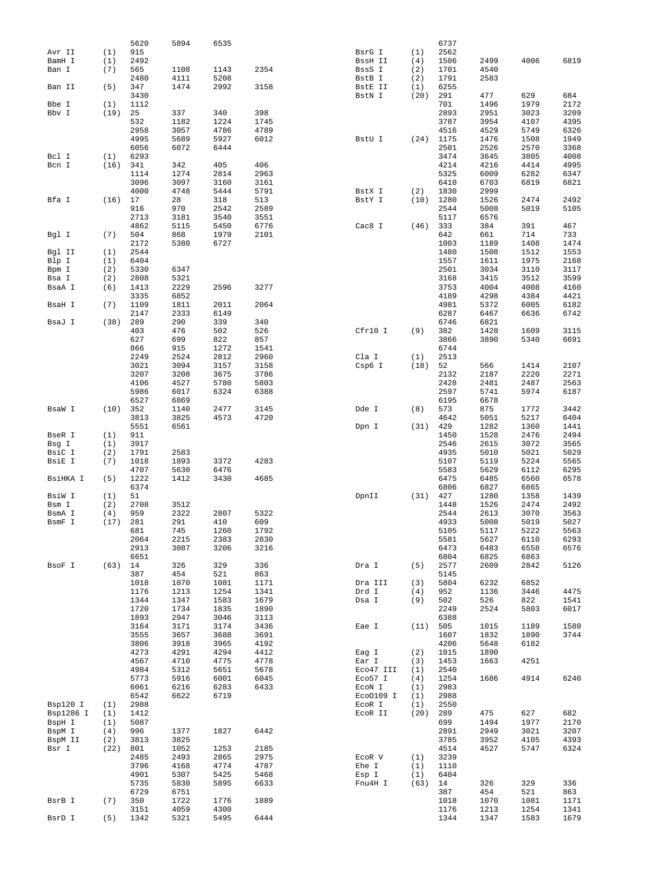|           |      | 5620 | 5894 | 6535 |      |           |      | 6737 |      |      |      |
|-----------|------|------|------|------|------|-----------|------|------|------|------|------|
| Avr II    | (1)  | 915  |      |      |      | BsrG I    | (1)  | 2562 |      |      |      |
| BamH I    | (1)  | 2492 |      |      |      | BssH II   | (4)  | 1506 | 2499 | 4006 | 6819 |
| Ban I     | (7)  | 565  | 1108 | 1143 | 2354 | BssS I    | (2)  | 1701 | 4540 |      |      |
|           |      | 2480 | 4111 | 5208 |      | BstB I    | (2)  | 1791 | 2583 |      |      |
| Ban II    | (5)  | 347  | 1474 | 2992 | 3158 | BstE II   | (1)  | 6255 |      |      |      |
|           |      | 3430 |      |      |      | BstN I    | (20) | 291  | 477  | 629  | 684  |
| Bbe I     | (1)  | 1112 |      |      |      |           |      | 701  | 1496 | 1979 | 2172 |
| Bbv I     | (19) | 25   | 337  | 340  | 398  |           |      | 2893 | 2951 | 3023 | 3209 |
|           |      | 532  | 1182 | 1224 | 1745 |           |      | 3787 | 3954 | 4107 | 4395 |
|           |      | 2958 | 3057 | 4786 | 4789 |           |      | 4516 | 4529 | 5749 | 6326 |
|           |      | 4995 | 5689 | 5927 | 6012 | BstU I    | (24) | 1175 | 1476 | 1508 | 1949 |
|           |      | 6056 | 6072 | 6444 |      |           |      | 2501 | 2526 | 2570 | 3368 |
| Bcl I     | (1)  | 6293 |      |      |      |           |      | 3474 | 3645 | 3805 | 4008 |
| Bcn I     | (16) | 341  | 342  | 405  | 406  |           |      | 4214 | 4216 | 4414 | 4995 |
|           |      | 1114 | 1274 | 2814 | 2963 |           |      | 5325 | 6009 | 6282 | 6347 |
|           |      |      |      |      |      |           |      |      |      |      |      |
|           |      | 3096 | 3097 | 3160 | 3161 |           |      | 6410 | 6703 | 6819 | 6821 |
|           |      | 4000 | 4748 | 5444 | 5791 | BstX I    | (2)  | 1830 | 2999 |      |      |
| Bfa I     | (16) | 17   | 28   | 318  | 513  | BstY I    | (10) | 1280 | 1526 | 2474 | 2492 |
|           |      | 916  | 970  | 2542 | 2589 |           |      | 2544 | 5008 | 5019 | 5105 |
|           |      | 2713 | 3181 | 3540 | 3551 |           |      | 5117 | 6576 |      |      |
|           |      | 4862 | 5115 | 5450 | 6776 | Cac8 I    | (46) | 333  | 384  | 391  | 467  |
| Bgl I     | (7)  | 504  | 868  | 1979 | 2101 |           |      | 642  | 661  | 714  | 733  |
|           |      | 2172 | 5380 | 6727 |      |           |      | 1003 | 1189 | 1408 | 1474 |
| Bgl II    | (1)  | 2544 |      |      |      |           |      | 1480 | 1508 | 1512 | 1553 |
| Blp I     | (1)  | 6404 |      |      |      |           |      | 1557 | 1611 | 1975 | 2168 |
| Bpm I     | (2)  | 5330 | 6347 |      |      |           |      | 2501 | 3034 | 3110 | 3117 |
| Bsa I     | (2)  | 2808 | 5321 |      |      |           |      | 3168 | 3415 | 3512 | 3599 |
| BsaA I    | (6)  | 1413 | 2229 | 2596 | 3277 |           |      | 3753 | 4004 | 4008 | 4160 |
|           |      | 3335 | 6852 |      |      |           |      | 4189 | 4298 | 4384 | 4421 |
| BsaH I    | (7)  | 1109 | 1811 | 2011 | 2064 |           |      | 4981 | 5372 | 6005 | 6182 |
|           |      |      |      |      |      |           |      |      |      |      |      |
|           |      | 2147 | 2333 | 6149 |      |           |      | 6287 | 6467 | 6636 | 6742 |
| BsaJ I    | (38) | 289  | 290  | 339  | 340  |           |      | 6746 | 6821 |      |      |
|           |      | 403  | 476  | 502  | 526  | Cfr10 I   | (9)  | 382  | 1428 | 1609 | 3115 |
|           |      | 627  | 699  | 822  | 857  |           |      | 3866 | 3890 | 5340 | 6691 |
|           |      | 866  | 915  | 1272 | 1541 |           |      | 6744 |      |      |      |
|           |      | 2249 | 2524 | 2812 | 2960 | Cla I     | (1)  | 2513 |      |      |      |
|           |      | 3021 | 3094 | 3157 | 3158 | Csp6 I    | (18) | 52   | 566  | 1414 | 2107 |
|           |      | 3207 | 3208 | 3675 | 3786 |           |      | 2132 | 2187 | 2220 | 2271 |
|           |      | 4106 | 4527 | 5780 | 5803 |           |      | 2428 | 2481 | 2487 | 2563 |
|           |      | 5986 | 6017 | 6324 | 6388 |           |      | 2597 | 5741 | 5974 | 6187 |
|           |      | 6527 | 6869 |      |      |           |      | 6195 | 6678 |      |      |
| BsaW I    | (10) | 352  | 1140 | 2477 | 3145 | Dde I     | (8)  | 573  | 875  | 1772 | 3442 |
|           |      | 3813 | 3825 | 4573 | 4720 |           |      | 4642 | 5051 | 5217 | 6404 |
|           |      |      |      |      |      |           |      |      |      |      | 1441 |
|           |      | 5551 | 6561 |      |      | Dpn I     | (31) | 429  | 1282 | 1360 |      |
| BseR I    | (1)  | 911  |      |      |      |           |      | 1450 | 1528 | 2476 | 2494 |
| Bsg I     | (1)  | 3917 |      |      |      |           |      | 2546 | 2615 | 3072 | 3565 |
| BsiC I    | (2)  | 1791 | 2583 |      |      |           |      | 4935 | 5010 | 5021 | 5029 |
| BsiE I    | (7)  | 1018 | 1893 | 3372 | 4283 |           |      | 5107 | 5119 | 5224 | 5565 |
|           |      | 4707 | 5630 | 6476 |      |           |      | 5583 | 5629 | 6112 | 6295 |
| BsiHKA I  | (5)  | 1222 | 1412 | 3430 | 4685 |           |      | 6475 | 6485 | 6560 | 6578 |
|           |      | 6374 |      |      |      |           |      | 6806 | 6827 | 6865 |      |
| BsiW I    | (1)  | 51   |      |      |      | DpnII     | (31) | 427  | 1280 | 1358 | 1439 |
| Bsm I     | (2)  | 2708 | 3512 |      |      |           |      | 1448 | 1526 | 2474 | 2492 |
| BsmA I    | (4)  | 959  | 2322 | 2807 | 5322 |           |      | 2544 | 2613 | 3070 | 3563 |
| BsmF I    | (17) | 281  | 291  | 410  | 609  |           |      | 4933 | 5008 | 5019 | 5027 |
|           |      | 681  | 745  | 1260 | 1792 |           |      | 5105 | 5117 | 5222 | 5563 |
|           |      | 2064 | 2215 | 2383 | 2830 |           |      | 5581 | 5627 | 6110 | 6293 |
|           |      | 2913 | 3087 | 3206 | 3216 |           |      | 6473 | 6483 | 6558 | 6576 |
|           |      | 6651 |      |      |      |           |      | 6804 | 6825 | 6863 |      |
|           |      |      | 326  |      |      |           |      |      |      |      |      |
| BsoF I    | (63) | 14   |      | 329  | 336  | Dra I     | (5)  | 2577 | 2609 | 2842 | 5126 |
|           |      | 387  | 454  | 521  | 863  |           |      | 5145 |      |      |      |
|           |      | 1018 | 1070 | 1081 | 1171 | Dra III   | (3)  | 5804 | 6232 | 6852 |      |
|           |      | 1176 | 1213 | 1254 | 1341 | Drd I     | (4)  | 952  | 1136 | 3446 | 4475 |
|           |      | 1344 | 1347 | 1583 | 1679 | Dsa I     | (9)  | 502  | 526  | 822  | 1541 |
|           |      | 1720 | 1734 | 1835 | 1890 |           |      | 2249 | 2524 | 5803 | 6017 |
|           |      | 1893 | 2947 | 3046 | 3113 |           |      | 6388 |      |      |      |
|           |      | 3164 | 3171 | 3174 | 3436 | Eae I     | (11) | 505  | 1015 | 1189 | 1580 |
|           |      | 3555 | 3657 | 3688 | 3691 |           |      | 1607 | 1832 | 1890 | 3744 |
|           |      | 3806 | 3918 | 3965 | 4192 |           |      | 4206 | 5648 | 6182 |      |
|           |      | 4273 | 4291 | 4294 | 4412 | Eag I     | (2)  | 1015 | 1890 |      |      |
|           |      | 4567 | 4710 | 4775 | 4778 | Ear I     | (3)  | 1453 | 1663 | 4251 |      |
|           |      | 4984 | 5312 | 5651 | 5678 | Eco47 III | (1)  | 2540 |      |      |      |
|           |      | 5773 | 5916 | 6001 | 6045 | Eco57 I   | (4)  | 1254 | 1686 | 4914 | 6240 |
|           |      | 6061 | 6216 | 6283 | 6433 | ECON I    | (1)  | 2983 |      |      |      |
|           |      | 6542 | 6622 |      |      | Eco0109 I | (1)  | 2988 |      |      |      |
|           |      |      |      | 6719 |      |           |      |      |      |      |      |
| Bsp120 I  | (1)  | 2988 |      |      |      | ECOR I    | (1)  | 2550 |      |      |      |
| Bsp1286 I | (1)  | 1412 |      |      |      | ECOR II   | (20) | 289  | 475  | 627  | 682  |
| BspH I    | (1)  | 5087 |      |      |      |           |      | 699  | 1494 | 1977 | 2170 |
| BspM I    | (4)  | 996  | 1377 | 1827 | 6442 |           |      | 2891 | 2949 | 3021 | 3207 |
| BspM II   | (2)  | 3813 | 3825 |      |      |           |      | 3785 | 3952 | 4105 | 4393 |
| Bsr I     | (22) | 801  | 1052 | 1253 | 2185 |           |      | 4514 | 4527 | 5747 | 6324 |
|           |      | 2485 | 2493 | 2865 | 2975 | ECOR V    | (1)  | 3239 |      |      |      |
|           |      | 3796 | 4168 | 4774 | 4787 | Ehe I     | (1)  | 1110 |      |      |      |
|           |      | 4901 | 5307 | 5425 | 5468 | Esp I     | (1)  | 6404 |      |      |      |
|           |      | 5735 | 5830 | 5895 | 6633 | Fnu4H I   | (63) | 14   | 326  | 329  | 336  |
|           |      | 6729 | 6751 |      |      |           |      | 387  | 454  | 521  | 863  |
| BsrB I    | (7)  | 350  | 1722 | 1776 | 1889 |           |      | 1018 | 1070 | 1081 | 1171 |
|           |      | 3151 | 4059 | 4300 |      |           |      | 1176 | 1213 | 1254 | 1341 |
| BsrD I    | (5)  | 1342 | 5321 | 5495 | 6444 |           |      | 1344 | 1347 | 1583 | 1679 |
|           |      |      |      |      |      |           |      |      |      |      |      |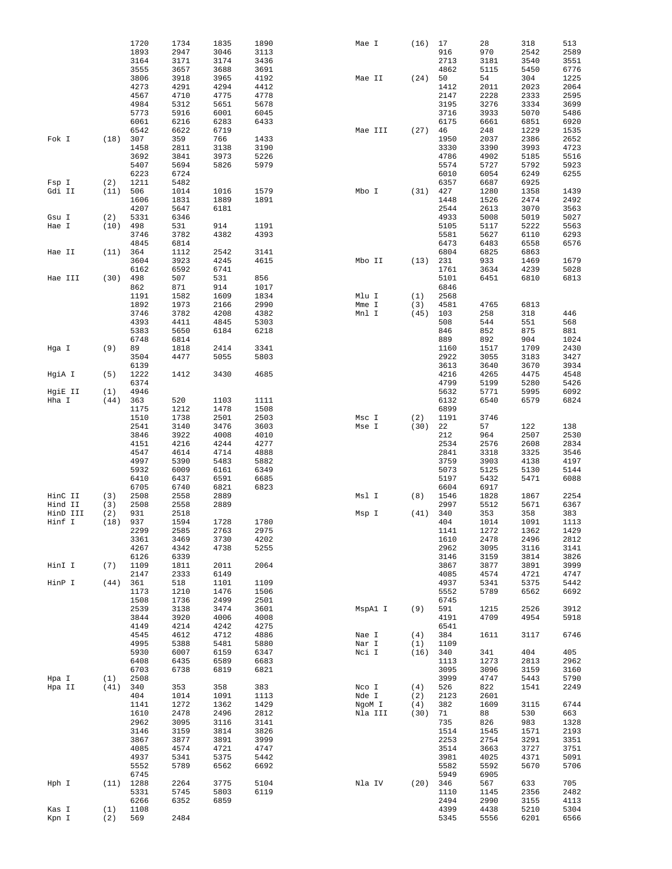|          |      | 1720         | 1734         | 1835         | 1890         | Mae I             | (16)        | 17           | 28           | 318          | 513          |
|----------|------|--------------|--------------|--------------|--------------|-------------------|-------------|--------------|--------------|--------------|--------------|
|          |      | 1893         | 2947         | 3046         | 3113         |                   |             | 916          | 970          | 2542         | 2589         |
|          |      | 3164         | 3171         | 3174         | 3436         |                   |             | 2713         | 3181         | 3540         | 3551         |
|          |      | 3555         | 3657         | 3688         | 3691         |                   |             | 4862         | 5115         | 5450         | 6776         |
|          |      | 3806         | 3918         | 3965         | 4192         | Mae II            | (24)        | 50           | 54           | 304          | 1225         |
|          |      | 4273<br>4567 | 4291<br>4710 | 4294<br>4775 | 4412<br>4778 |                   |             | 1412<br>2147 | 2011<br>2228 | 2023<br>2333 | 2064<br>2595 |
|          |      | 4984         | 5312         | 5651         | 5678         |                   |             | 3195         | 3276         | 3334         | 3699         |
|          |      | 5773         | 5916         | 6001         | 6045         |                   |             | 3716         | 3933         | 5070         | 5486         |
|          |      | 6061         | 6216         | 6283         | 6433         |                   |             | 6175         | 6661         | 6851         | 6920         |
|          |      | 6542         | 6622         | 6719         |              | Mae III           | (27)        | 46           | 248          | 1229         | 1535         |
| Fok I    | (18) | 307          | 359          | 766          | 1433         |                   |             | 1950         | 2037         | 2386         | 2652         |
|          |      | 1458         | 2811         | 3138         | 3190         |                   |             | 3330         | 3390         | 3993         | 4723         |
|          |      | 3692         | 3841         | 3973         | 5226         |                   |             | 4786         | 4902         | 5185         | 5516         |
|          |      | 5407         | 5694         | 5826         | 5979         |                   |             | 5574         | 5727         | 5792         | 5923         |
|          |      | 6223         | 6724         |              |              |                   |             | 6010         | 6054         | 6249         | 6255         |
| Fsp I    | (2)  | 1211         | 5482         |              |              |                   |             | 6357         | 6687         | 6925         |              |
| Gdi II   | (11) | 506          | 1014         | 1016         | 1579         | Mbo I             | (31)        | 427          | 1280         | 1358         | 1439         |
|          |      | 1606         | 1831         | 1889         | 1891         |                   |             | 1448         | 1526         | 2474         | 2492         |
|          |      | 4207         | 5647         | 6181         |              |                   |             | 2544         | 2613         | 3070         | 3563         |
| Gsu I    | (2)  | 5331         | 6346         |              |              |                   |             | 4933         | 5008         | 5019         | 5027         |
| Hae I    | (10) | 498          | 531          | 914          | 1191         |                   |             | 5105         | 5117         | 5222         | 5563         |
|          |      | 3746         | 3782         | 4382         | 4393         |                   |             | 5581         | 5627         | 6110         | 6293         |
|          |      | 4845         | 6814         |              |              |                   |             | 6473         | 6483         | 6558         | 6576         |
| Hae II   | (11) | 364<br>3604  | 1112<br>3923 | 2542<br>4245 | 3141<br>4615 | Mbo II            |             | 6804<br>231  | 6825<br>933  | 6863<br>1469 |              |
|          |      | 6162         | 6592         | 6741         |              |                   | (13)        | 1761         | 3634         | 4239         | 1679<br>5028 |
| Hae III  | (30) | 498          | 507          | 531          | 856          |                   |             | 5101         | 6451         | 6810         | 6813         |
|          |      | 862          | 871          | 914          | 1017         |                   |             | 6846         |              |              |              |
|          |      | 1191         | 1582         | 1609         | 1834         | Mlu I             | (1)         | 2568         |              |              |              |
|          |      | 1892         | 1973         | 2166         | 2990         | Mme I             | (3)         | 4581         | 4765         | 6813         |              |
|          |      | 3746         | 3782         | 4208         | 4382         | Mnl I             | (45)        | 103          | 258          | 318          | 446          |
|          |      | 4393         | 4411         | 4845         | 5303         |                   |             | 508          | 544          | 551          | 568          |
|          |      | 5383         | 5650         | 6184         | 6218         |                   |             | 846          | 852          | 875          | 881          |
|          |      | 6748         | 6814         |              |              |                   |             | 889          | 892          | 904          | 1024         |
| Hga I    | (9)  | 89           | 1818         | 2414         | 3341         |                   |             | 1160         | 1517         | 1709         | 2430         |
|          |      | 3504         | 4477         | 5055         | 5803         |                   |             | 2922         | 3055         | 3183         | 3427         |
|          |      | 6139         |              |              |              |                   |             | 3613         | 3640         | 3670         | 3934         |
| HgiA I   | (5)  | 1222         | 1412         | 3430         | 4685         |                   |             | 4216         | 4265         | 4475         | 4548         |
|          |      | 6374         |              |              |              |                   |             | 4799         | 5199         | 5280         | 5426         |
| HgiE II  | (1)  | 4946         |              |              |              |                   |             | 5632         | 5771         | 5995         | 6092         |
| Hha I    | (44) | 363          | 520          | 1103         | 1111         |                   |             | 6132         | 6540         | 6579         | 6824         |
|          |      | 1175<br>1510 | 1212<br>1738 | 1478<br>2501 | 1508<br>2503 | Msc I             | (2)         | 6899<br>1191 | 3746         |              |              |
|          |      | 2541         | 3140         | 3476         | 3603         | Mse I             | (30)        | 22           | 57           | 122          | 138          |
|          |      | 3846         | 3922         | 4008         | 4010         |                   |             | 212          | 964          | 2507         | 2530         |
|          |      | 4151         | 4216         | 4244         | 4277         |                   |             | 2534         | 2576         | 2608         | 2834         |
|          |      | 4547         | 4614         | 4714         | 4888         |                   |             | 2841         | 3318         | 3325         | 3546         |
|          |      | 4997         | 5390         | 5483         | 5882         |                   |             | 3759         | 3903         | 4138         | 4197         |
|          |      | 5932         | 6009         | 6161         | 6349         |                   |             | 5073         | 5125         | 5130         | 5144         |
|          |      | 6410         | 6437         | 6591         | 6685         |                   |             | 5197         | 5432         | 5471         | 6088         |
|          |      | 6705         | 6740         | 6821         | 6823         |                   |             | 6604         | 6917         |              |              |
| HinC II  | (3)  | 2508         | 2558         | 2889         |              | Msl I             | (8)         | 1546         | 1828         | 1867         | 2254         |
| Hind II  | (3)  | 2508         | 2558         | 2889         |              |                   |             | 2997         | 5512         | 5671         | 6367         |
| HinD III | (2)  | 931          | 2518         |              |              | Msp I             | (41)        | 340          | 353          | 358          | 383          |
| Hinf I   | (18) | 937          | 1594         | 1728         | 1780         |                   |             | 404          | 1014         | 1091         | 1113         |
|          |      | 2299         | 2585         | 2763         | 2975         |                   |             | 1141         | 1272         | 1362         | 1429         |
|          |      | 3361         | 3469         | 3730         | 4202         |                   |             | 1610         | 2478         | 2496         | 2812         |
|          |      | 4267         | 4342         | 4738         | 5255         |                   |             | 2962         | 3095         | 3116         | 3141         |
|          |      | 6126         | 6339<br>1811 | 2011         | 2064         |                   |             | 3146         | 3159<br>3877 | 3814         | 3826         |
| HinI I   | (7)  | 1109<br>2147 | 2333         | 6149         |              |                   |             | 3867<br>4085 | 4574         | 3891<br>4721 | 3999<br>4747 |
| HinP I   | (44) | 361          | 518          | 1101         | 1109         |                   |             | 4937         | 5341         | 5375         | 5442         |
|          |      | 1173         | 1210         | 1476         | 1506         |                   |             | 5552         | 5789         | 6562         | 6692         |
|          |      | 1508         | 1736         | 2499         | 2501         |                   |             | 6745         |              |              |              |
|          |      | 2539         | 3138         | 3474         | 3601         | MspAl I           | (9)         | 591          | 1215         | 2526         | 3912         |
|          |      | 3844         | 3920         | 4006         | 4008         |                   |             | 4191         | 4709         | 4954         | 5918         |
|          |      | 4149         | 4214         | 4242         | 4275         |                   |             | 6541         |              |              |              |
|          |      | 4545         | 4612         | 4712         | 4886         | Nae I             | (4)         | 384          | 1611         | 3117         | 6746         |
|          |      | 4995         | 5388         | 5481         | 5880         | Nar I             | (1)         | 1109         |              |              |              |
|          |      | 5930         | 6007         | 6159         | 6347         | Nci I             | (16)        | 340          | 341          | 404          | 405          |
|          |      | 6408         | 6435         | 6589         | 6683         |                   |             | 1113         | 1273         | 2813         | 2962         |
|          |      | 6703         | 6738         | 6819         | 6821         |                   |             | 3095         | 3096         | 3159         | 3160         |
| Hpa I    | (1)  | 2508         |              |              |              |                   |             | 3999         | 4747         | 5443         | 5790         |
| Hpa II   | (41) | 340          | 353          | 358          | 383          | Nco I             | (4)         | 526          | 822          | 1541         | 2249         |
|          |      | 404<br>1141  | 1014         | 1091<br>1362 | 1113<br>1429 | Nde I             | (2)         | 2123         | 2601<br>1609 |              | 6744         |
|          |      | 1610         | 1272<br>2478 | 2496         | 2812         | NgoM I<br>Nla III | (4)<br>(30) | 382<br>71    | 88           | 3115<br>530  | 663          |
|          |      | 2962         | 3095         | 3116         | 3141         |                   |             | 735          | 826          | 983          | 1328         |
|          |      | 3146         | 3159         | 3814         | 3826         |                   |             | 1514         | 1545         | 1571         | 2193         |
|          |      | 3867         | 3877         | 3891         | 3999         |                   |             | 2253         | 2754         | 3291         | 3351         |
|          |      | 4085         | 4574         | 4721         | 4747         |                   |             | 3514         | 3663         | 3727         | 3751         |
|          |      | 4937         | 5341         | 5375         | 5442         |                   |             | 3981         | 4025         | 4371         | 5091         |
|          |      | 5552         | 5789         | 6562         | 6692         |                   |             | 5582         | 5592         | 5670         | 5706         |
|          |      | 6745         |              |              |              |                   |             | 5949         | 6905         |              |              |
| Hph I    | (11) | 1288         | 2264         | 3775         | 5104         | Nla IV            | (20)        | 346          | 567          | 633          | 705          |
|          |      | 5331         | 5745         | 5803         | 6119         |                   |             | 1110         | 1145         | 2356         | 2482         |
|          |      | 6266         | 6352         | 6859         |              |                   |             | 2494         | 2990         | 3155         | 4113         |
| Kas I    | (1)  | 1108         |              |              |              |                   |             | 4399         | 4438         | 5210         | 5304         |
| Kpn I    | (2)  | 569          | 2484         |              |              |                   |             | 5345         | 5556         | 6201         | 6566         |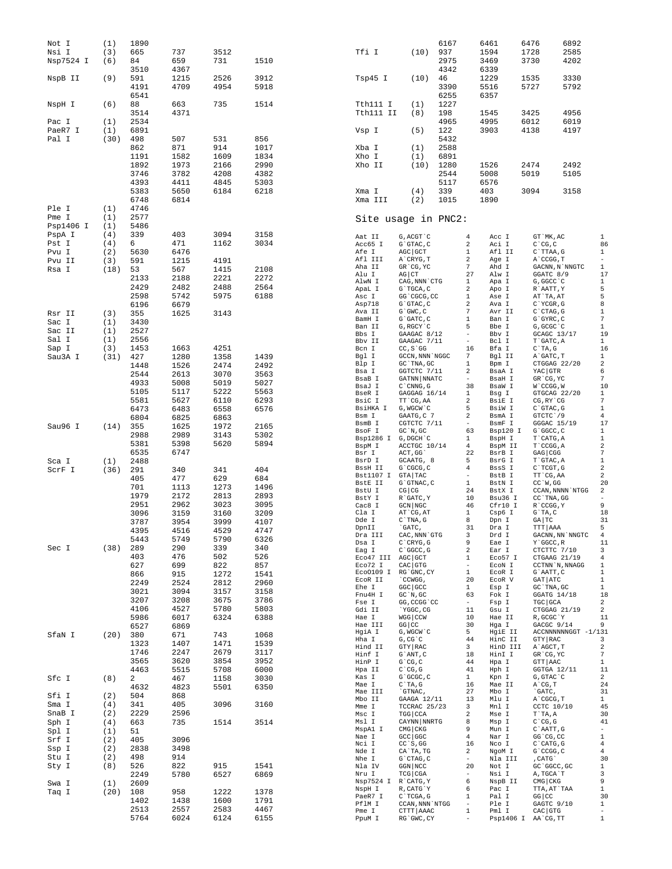| Not I     | (1)  | 1890 |      |      |      |                     |                         | 6167 |                                   | 6461                | 6476 |                      | 6892                |                          |
|-----------|------|------|------|------|------|---------------------|-------------------------|------|-----------------------------------|---------------------|------|----------------------|---------------------|--------------------------|
| Nsi I     | (3)  | 665  | 737  | 3512 |      | Tfi I               | (10)                    | 937  |                                   | 1594                | 1728 |                      | 2585                |                          |
| Nsp7524 I | (6)  | 84   | 659  | 731  | 1510 |                     |                         | 2975 |                                   | 3469                | 3730 |                      | 4202                |                          |
|           |      | 3510 | 4367 |      |      |                     |                         | 4342 |                                   | 6339                |      |                      |                     |                          |
|           |      |      |      |      |      |                     |                         |      |                                   |                     |      |                      |                     |                          |
| NspB II   | (9)  | 591  | 1215 | 2526 | 3912 | Tsp45 I             | (10)                    | 46   |                                   | 1229                | 1535 |                      | 3330                |                          |
|           |      | 4191 | 4709 | 4954 | 5918 |                     |                         | 3390 |                                   | 5516                | 5727 |                      | 5792                |                          |
|           |      | 6541 |      |      |      |                     |                         | 6255 |                                   | 6357                |      |                      |                     |                          |
| NspH I    | (6)  | 88   | 663  | 735  | 1514 | Tth111 I            | (1)                     | 1227 |                                   |                     |      |                      |                     |                          |
|           |      | 3514 | 4371 |      |      | Tth111 II           | (8)                     | 198  |                                   | 1545                | 3425 |                      | 4956                |                          |
| Pac I     | (1)  | 2534 |      |      |      |                     |                         | 4965 |                                   | 4995                | 6012 |                      | 6019                |                          |
| PaeR7 I   | (1)  | 6891 |      |      |      |                     | (5)                     | 122  |                                   | 3903                | 4138 |                      | 4197                |                          |
|           |      |      |      |      |      | Vsp I               |                         |      |                                   |                     |      |                      |                     |                          |
| Pal I     | (30) | 498  | 507  | 531  | 856  |                     |                         | 5432 |                                   |                     |      |                      |                     |                          |
|           |      | 862  | 871  | 914  | 1017 | Xba I               | (1)                     | 2588 |                                   |                     |      |                      |                     |                          |
|           |      | 1191 | 1582 | 1609 | 1834 | Xho I               | (1)                     | 6891 |                                   |                     |      |                      |                     |                          |
|           |      | 1892 | 1973 | 2166 | 2990 | Xho II              | (10)                    | 1280 |                                   | 1526                | 2474 |                      | 2492                |                          |
|           |      | 3746 | 3782 | 4208 | 4382 |                     |                         | 2544 |                                   | 5008                | 5019 |                      | 5105                |                          |
|           |      |      |      |      |      |                     |                         |      |                                   |                     |      |                      |                     |                          |
|           |      | 4393 | 4411 | 4845 | 5303 |                     |                         | 5117 |                                   | 6576                |      |                      |                     |                          |
|           |      | 5383 | 5650 | 6184 | 6218 | Xma I               | (4)                     | 339  |                                   | 403                 | 3094 |                      | 3158                |                          |
|           |      | 6748 | 6814 |      |      | Xma III             | (2)                     | 1015 |                                   | 1890                |      |                      |                     |                          |
| Ple I     | (1)  | 4746 |      |      |      |                     |                         |      |                                   |                     |      |                      |                     |                          |
| Pme I     | (1)  | 2577 |      |      |      |                     | Site usage in PNC2:     |      |                                   |                     |      |                      |                     |                          |
| Psp1406 I | (1)  | 5486 |      |      |      |                     |                         |      |                                   |                     |      |                      |                     |                          |
|           |      |      |      |      |      |                     |                         |      |                                   |                     |      |                      |                     |                          |
| PspA I    | (4)  | 339  | 403  | 3094 | 3158 | Aat II              | G, ACGT `C              |      | $\overline{4}$                    | Acc I               |      | GT `MK, AC           |                     | $\mathbf{1}$             |
| Pst I     | (4)  | 6    | 471  | 1162 | 3034 | Acc65 I             | $G$ $G$ $TAC$ , $C$     |      | 2                                 | Aci I               |      | $C^{\wedge}CG, C$    |                     | 86                       |
| Pvu I     | (2)  | 5630 | 6476 |      |      | Afe I               | AGC GCT                 |      | 1                                 | Afl II              |      | C`TTAA, G            |                     | $\mathbf{1}$             |
| Pvu II    | (3)  | 591  | 1215 | 4191 |      | Afl III             | A`CRYG, T               |      | 2                                 | Age I               |      | A`CCGG, T            |                     | $\overline{\phantom{a}}$ |
| Rsa I     | (18) | 53   | 567  | 1415 | 2108 | Aha II              | GR CG, YC               |      | 7                                 | Ahd I               |      | GACNN, N`NNGTC       |                     | $\mathbf{1}$             |
|           |      |      |      |      |      | Alu I               | $AG$ $CT$               |      | 27                                | Alw I               |      | GGATC 8/9            |                     | 17                       |
|           |      | 2133 | 2188 | 2221 | 2272 | AlwN I              | CAG, NNN `CTG           |      | $\mathbf{1}$                      | Apa I               |      | G, GGCC `C           |                     | $1\,$                    |
|           |      | 2429 | 2482 | 2488 | 2564 | ApaL I              | G`TGCA, C               |      | $\overline{a}$                    | Apo I               |      | R`AATT, Y            |                     | 5                        |
|           |      | 2598 | 5742 | 5975 | 6188 | Asc I               | GG 'CGCG, CC            |      | 1                                 | Ase I               |      | AT TA, AT            |                     | 5                        |
|           |      | 6196 | 6679 |      |      | Asp718              | G`GTAC, C               |      | 2                                 | Ava I               |      | C`YCGR, G            |                     | 8                        |
|           |      | 355  |      |      |      | Ava II              | $G$ $GWC$ , $C$         |      | 7                                 | Avr II              |      | $C$ $CTAG$ , $G$     |                     | $\mathbf{1}$             |
| Rsr II    | (3)  |      | 1625 | 3143 |      | BamH I              | G`GATC, C               |      | $\mathbf{1}$                      | Ban I               |      | $G$ $GYRC$ , $C$     |                     | 7                        |
| Sac I     | (1)  | 3430 |      |      |      | Ban II              | G, RGCY `C              |      | 5                                 | Bbe I               |      | G, GCGC `C           |                     | $\mathbf{1}$             |
| Sac II    | (1)  | 2527 |      |      |      | Bbs I               | GAAGAC 8/12             |      | $\overline{\phantom{a}}$          | Bbv I               |      | GCAGC 13/17          |                     | 19                       |
| Sal I     | (1)  | 2556 |      |      |      | Bbv II              | GAAGAC 7/11             |      | $\hspace{1.0cm} - \hspace{1.0cm}$ | Bcl I               |      | T`GATC, A            |                     | $\mathbf{1}$             |
| Sap I     | (3)  | 1453 | 1663 | 4251 |      | Bcn I               | $CC, S$ GG              |      | 16                                | Bfa I               |      | $C^T A$ , G          |                     | 16                       |
| Sau3A I   |      |      |      |      |      | Bgl I               | GCCN, NNN `NGGC         |      | 7                                 | Bgl II              |      | A`GATC, T            |                     | $\mathbf{1}$             |
|           | (31) | 427  | 1280 | 1358 | 1439 |                     | GC `TNA, GC             |      | 1                                 |                     |      | CTGGAG 22/20         |                     | $\,2$                    |
|           |      | 1448 | 1526 | 2474 | 2492 | Blp I               |                         |      | 2                                 | Bpm I               |      |                      |                     | 6                        |
|           |      | 2544 | 2613 | 3070 | 3563 | Bsa I               | GGTCTC 7/11             |      | $\sim$                            | BsaA I              |      | YAC GTR              |                     |                          |
|           |      | 4933 | 5008 | 5019 | 5027 | BsaB I              | GATNN NNATC             |      |                                   | BsaH I              |      | GR CG, YC            |                     | $\overline{7}$           |
|           |      | 5105 | 5117 | 5222 | 5563 | BsaJ I              | $C$ $\cap$ $CNNG$ , $G$ |      | 38                                | BsaW I              |      | W`CCGG, W            |                     | 10                       |
|           |      |      |      |      |      | BseR I              | GAGGAG 16/14            |      | $\mathbf{1}$                      | Bsg I               |      | GTGCAG 22/20         |                     | 1                        |
|           |      | 5581 | 5627 | 6110 | 6293 | BsiC I              | TT CG, AA               |      | $\overline{a}$                    | BsiE I              |      | CG, RY CG            |                     | $\boldsymbol{7}$         |
|           |      | 6473 | 6483 | 6558 | 6576 | BsiHKA I            | G, WGCW `C              |      | 5                                 | BsiW I              |      | $C$ $GTAC$ , $G$     |                     | $\,1\,$                  |
|           |      | 6804 | 6825 | 6863 |      | Bsm I               | GAATG, C 7              |      | 2                                 | BsmA I              |      | GTCTC 19             |                     | $\overline{4}$           |
| Sau96 I   | (14) | 355  | 1625 | 1972 | 2165 | BsmB I              | CGTCTC 7/11             |      | $\overline{\phantom{a}}$          | BsmF I              |      | GGGAC 15/19          |                     | 17                       |
|           |      | 2988 | 2989 | 3143 | 5302 | BsoF I              | GC'N, GC                |      | 63                                | Bsp120 I            |      | G`GGCC, C            |                     | $\mathbf{1}$             |
|           |      |      |      |      |      | Bsp1286 I           | G, DGCH `C              |      | $\mathbf{1}$                      | BspH I              |      | T`CATG, A            |                     | $\,1\,$                  |
|           |      | 5381 | 5398 | 5620 | 5894 | BspM I              | ACCTGC 10/14            |      | 4                                 | BspM II             |      | T`CCGG, A            |                     | $\boldsymbol{2}$         |
|           |      | 6535 | 6747 |      |      | Bsr I               | ACT, GG                 |      | 22                                | BsrB I              |      | GAG CGG              |                     | $\overline{7}$           |
| Sca I     | (1)  | 2488 |      |      |      | BsrD I              | GCAATG, 8               |      | 5                                 | BsrG I              |      | T`GTAC, A            |                     | $\,1\,$                  |
| ScrF I    | (36) | 291  | 340  | 341  | 404  | BssH II             | G`CGCG, C               |      | 4                                 | BssS I              |      | C`TCGT, G            |                     | $\sqrt{2}$               |
|           |      | 405  | 477  | 629  | 684  | Bst1107 I           | GTA TAC                 |      | $\sim$                            | BstB I              |      | TT CG, AA            |                     | $\,2$                    |
|           |      |      |      |      |      | BstE II             | G`GTNAC, C              |      | $\mathbf{1}$                      | BstN I              |      | $CC^W$ , GG          |                     | 20                       |
|           |      | 701  | 1113 | 1273 | 1496 | BstU I              | CG   CG                 |      | 24                                | BstX I              |      |                      | CCAN, NNNN `NTGG    | $\,2$                    |
|           |      | 1979 | 2172 | 2813 | 2893 | BstY I              | R`GATC, Y               |      | 10                                | Bsu36 I             |      | CC `TNA, GG          |                     | $\overline{\phantom{0}}$ |
|           |      | 2951 | 2962 | 3023 | 3095 | Cac8 I              | $GCN$ $NGC$             |      | 46                                | Cfr10 I             |      | R CCGG, Y            |                     | 9                        |
|           |      | 3096 | 3159 | 3160 | 3209 | Cla I               | AT CG, AT               |      | $\mathbf{1}$                      | Csp6 I              |      | $G^T A, C$           |                     | 18                       |
|           |      | 3787 | 3954 | 3999 | 4107 | Dde I               | $C^{\dagger}$ TNA, G    |      | 8                                 | Dpn I               |      | $GA$ $TC$            |                     | 31                       |
|           |      | 4395 | 4516 | 4529 | 4747 | DpnII               | `GATC,                  |      | 31                                | Dra I               |      | TTT AAA              |                     | 5                        |
|           |      |      |      |      |      | Dra III             | CAC, NNN `GTG           |      | 3                                 | Drd I               |      |                      | GACNN, NN `NNGTC    | 4                        |
|           |      | 5443 | 5749 | 5790 | 6326 | Dsa I               | $C$ $CRYG$ , $G$        |      | 9                                 | Eae I               |      | Y`GGCC, R            |                     | 11                       |
| Sec I     | (38) | 289  | 290  | 339  | 340  | Eag I               | C`GGCC, G               |      | 2                                 | Ear I               |      | CTCTTC 7/10          |                     | 3                        |
|           |      | 403  | 476  | 502  | 526  | Eco47 III AGC GCT   |                         |      | $\mathbf{1}$                      | Eco57 I             |      | CTGAAG 21/19         |                     | $\overline{4}$           |
|           |      | 627  | 699  | 822  | 857  | Eco72 I             | $CAC$ $GTG$             |      | $\overline{\phantom{a}}$          | ECON I              |      | CCTNN `N, NNAGG      |                     | $\mathbf{1}$             |
|           |      | 866  | 915  | 1272 | 1541 | Eco0109 I           | RG`GNC, CY              |      | $\mathbf{1}$                      | EcoR I              |      | G`AATT, C            |                     | $1\,$                    |
|           |      | 2249 | 2524 | 2812 | 2960 | ECOR II             | CCWGG,                  |      | 20                                | ECOR V              |      | GAT ATC              |                     | 1                        |
|           |      |      |      |      |      | Ehe I               | GGC GCC                 |      | $\mathbf{1}$                      | Esp I               |      | GC `TNA, GC          |                     | 1                        |
|           |      | 3021 | 3094 | 3157 | 3158 | Fnu4H I             | $GC^N$ , $GC$           |      | 63                                | Fok I               |      | GGATG 14/18          |                     | 18                       |
|           |      | 3207 | 3208 | 3675 | 3786 | Fse I               | GG, CCGG 'CC            |      | $\sim$                            | Fsp I               |      | TGC GCA              |                     | 2                        |
|           |      | 4106 | 4527 | 5780 | 5803 | Gdi II              | `YGGC, CG               |      | 11                                | Gsu I               |      | CTGGAG 21/19         |                     | $\overline{a}$           |
|           |      | 5986 | 6017 | 6324 | 6388 | Hae I               | $WGG$ $CCW$             |      | 10                                | Hae II              |      | R, GCGC`Y            |                     | 11                       |
|           |      | 6527 | 6869 |      |      | Hae III             | $GG$ $CC$               |      | 30                                | Hga I               |      | GACGC 9/14           |                     | 9                        |
| SfaN I    | (20) | 380  | 671  | 743  | 1068 | HgiA I              | G, WGCW `C              |      | 5                                 | HgiE II             |      |                      | ACCNNNNNNGGT -1/131 |                          |
|           |      |      |      |      |      | Hha I               | $G$ , $CG$ $C$          |      | 44                                | HinC II             |      | GTY RAC              |                     | 3                        |
|           |      | 1323 | 1407 | 1471 | 1539 | Hind II             | GTY RAC                 |      | 3                                 | HinD III            |      | A`AGCT, T            |                     | $\,2$                    |
|           |      | 1746 | 2247 | 2679 | 3117 | Hinf I              | G`ANT, C                |      | 18                                | HinI I              |      | GR CG, YC            |                     | 7                        |
|           |      | 3565 | 3620 | 3854 | 3952 | HinP I              | $G^{\wedge}CG, C$       |      | 44                                | Hpa I               |      | GTT AAC              |                     | 1                        |
|           |      | 4463 | 5515 | 5708 | 6000 | Hpa II              | $C^{\wedge}CG$ , $G$    |      | 41                                | Hph I               |      | GGTGA 12/11          |                     | 11                       |
|           |      |      |      |      |      | Kas I               | G`GCGC, C               |      | $\mathbf{1}$                      | Kpn I               |      | G, GTAC `C           |                     | $\overline{a}$           |
| Sfc I     | (8)  | 2    | 467  | 1158 | 3030 | Mae I               | $C^T A$ , G             |      | 16                                | Mae II              |      | A CG, T              |                     | 24                       |
|           |      | 4632 | 4823 | 5501 | 6350 | Mae III             | `GTNAC,                 |      | 27                                | Mbo I               |      | `GATC,               |                     | 31                       |
| Sfi I     | (2)  | 504  | 868  |      |      | Mbo II              | GAAGA 12/11             |      | 13                                | Mlu I               |      | A`CGCG, T            |                     | $\mathbf{1}$             |
| Sma I     | (4)  | 341  | 405  | 3096 | 3160 | Mme I               | TCCRAC 25/23            |      | 3                                 | Mnl I               |      | CCTC 10/10           |                     | 45                       |
| SnaB I    | (2)  | 2229 | 2596 |      |      | Msc I               | TGG CCA                 |      | $\overline{a}$                    | Mse I               |      | T`TA, A              |                     | 30                       |
|           |      | 663  | 735  | 1514 | 3514 | Msl I               | CAYNN NNRTG             |      | 8                                 | Msp I               |      | $C^{\wedge}CG$ , $G$ |                     | 41                       |
| Sph I     | (4)  |      |      |      |      | MspA1 I             | $CMG$ $CKG$             |      | 9                                 | Mun I               |      | C`AATT, G            |                     | $\overline{\phantom{a}}$ |
| Spl I     | (1)  | 51   |      |      |      | Nae I               | $GCC$ $GGC$             |      | 4                                 | Nar I               |      | GG 'CG, CC           |                     | $1\,$                    |
| Srf I     | (2)  | 405  | 3096 |      |      |                     |                         |      |                                   |                     |      |                      |                     | $\bf{4}$                 |
| Ssp I     | (2)  | 2838 | 3498 |      |      | Nci I               | CC S, GG                |      | 16                                | Nco I               |      | $C$ $CATG$ , $G$     |                     |                          |
| Stu I     | (2)  | 498  | 914  |      |      | Nde I               | CA`TA, TG               |      | 2                                 | NgoM I              |      | G`CCGG, C            |                     | $\overline{4}$           |
|           |      |      |      |      |      | Nhe I               | G`CTAG, C               |      | $\overline{\phantom{a}}$          | Nla III             |      | , CATG               |                     | 30                       |
| Sty I     | (8)  | 526  | 822  | 915  | 1541 | Nla IV              | GGN NCC                 |      | 20                                | Not I               |      | GC `GGCC, GC         |                     | $\mathbf{1}$             |
|           |      | 2249 | 5780 | 6527 | 6869 | Nru I               | $TCG$ $CGA$             |      | $\overline{\phantom{a}}$          | Nsi I               |      | A, TGCA`T            |                     | 3                        |
| Swa I     | (1)  | 2609 |      |      |      | Nsp7524 I R'CATG, Y |                         |      | 6                                 | NspB II             |      | $CMG$ $CKG$          |                     | 9                        |
| Taq I     | (20) | 108  | 958  | 1222 | 1378 | NspH I              | R, CATG`Y               |      | 6                                 | Pac I               |      | TTA, AT`TAA          |                     | $\mathbf{1}$             |
|           |      | 1402 | 1438 | 1600 | 1791 | PaeR7 I             | C`TCGA, G               |      | $\mathbf{1}$                      | Pal I               |      | $GG$ $CC$            |                     | 30                       |
|           |      | 2513 | 2557 | 2583 | 4467 | PflM I              | CCAN, NNN `NTGG         |      | $\hspace{1.0cm} - \hspace{1.0cm}$ | Ple I               |      | GAGTC 9/10           |                     | $\mathbf{1}$             |
|           |      |      |      |      |      | Pme I               | CTTT AAAC               |      | $\mathbf{1}$                      | Pml I               |      | $CAC$ GTG            |                     | $\overline{\phantom{a}}$ |
|           |      | 5764 | 6024 | 6124 | 6155 | PpuM I              | RG`GWC, CY              |      |                                   | Psp1406 I AA'CG, TT |      |                      |                     | $\mathbf{1}$             |